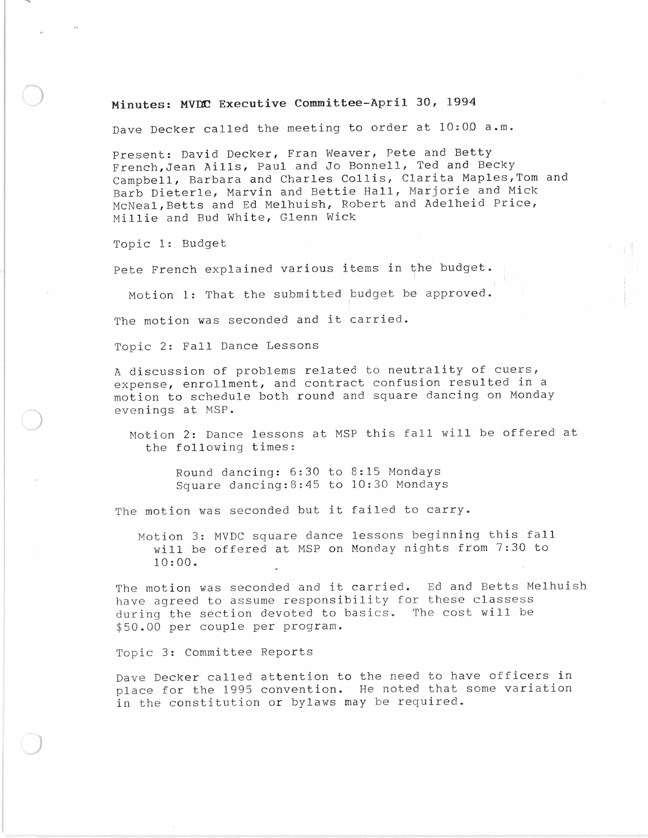## **Minutes: MVDO Executive Committee-April 30, 1994**

Dave Decker called the meeting to order at 10:00 **a.m.** 

Present: David Decker, Fran Weaver, Pete and Betty French,Jean Aills, Paul and Jo Bonnell, Ted and Becky Campbell, Barbara and Charles Collis, Clarita Maples,Tom and Barb Dieterle, Marvin and Bettie Hall, Marjorie and Mick McNeal,Betts and Ed Melhuish, Robert and Adelheid Price, Millie and Bud White, Glenn Wick

Topic 1: Budget

Pete French explained various items in the budget.

Motion 1: That the submitted budget be approved.

The motion was seconded and it carried.

Topic 2: Fall Dance Lessons

A discussion of problems related to neutrality of cuers, expense, enrollment, and contract confusion resulted in a motion to schedule both round and square dancing on Monday evenings at MSP.

Motion 2: Dance lessons at MSP this fall will be offered at the following times:

> Round dancing: 6:30 to 8:15 Mondays Square dancing:8:45 to 10:30 Mondays

The motion was seconded but it failed to carry.

Motion 3: MVDC square dance lessons beginning this fall will be offered at MSP on Monday nights from 7:30 to 10:00.

The motion was seconded and it carried. Ed and Betts Melhuish have agreed to assume responsibility for these classess during the section devoted to basics. The cost will be \$50.00 per couple per program.

Topic 3: Committee Reports

Dave Decker called attention to the need to have officers in place for the 1995 convention. He noted that some variation in the constitution or bylaws may be required.